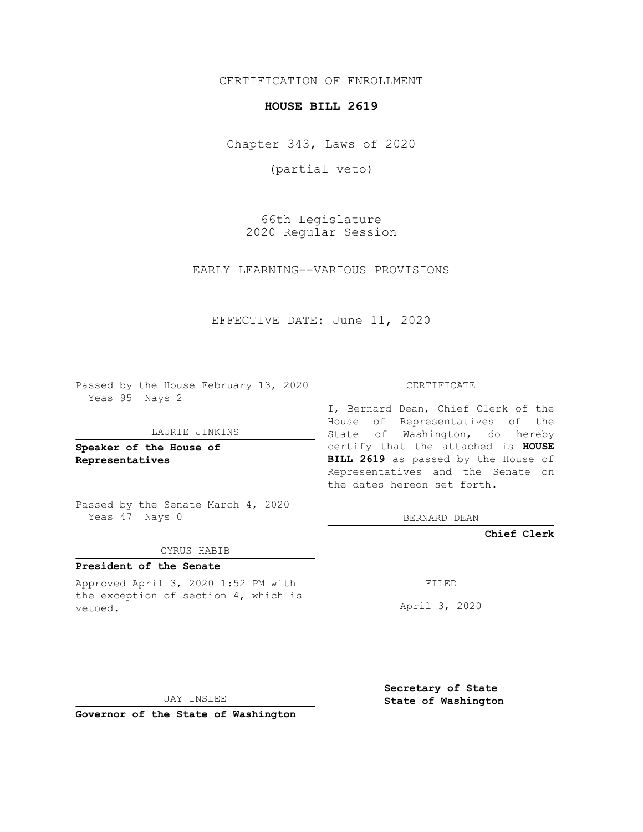CERTIFICATION OF ENROLLMENT

## **HOUSE BILL 2619**

Chapter 343, Laws of 2020

(partial veto)

66th Legislature 2020 Regular Session

EARLY LEARNING--VARIOUS PROVISIONS

EFFECTIVE DATE: June 11, 2020

Passed by the House February 13, 2020 Yeas 95 Nays 2

### LAURIE JINKINS

**Speaker of the House of Representatives**

Passed by the Senate March 4, 2020 Yeas 47 Nays 0

#### CYRUS HABIB

# **President of the Senate**

Approved April 3, 2020 1:52 PM with the exception of section 4, which is vetoed.

CERTIFICATE

I, Bernard Dean, Chief Clerk of the House of Representatives of the State of Washington, do hereby certify that the attached is **HOUSE BILL 2619** as passed by the House of Representatives and the Senate on the dates hereon set forth.

BERNARD DEAN

**Chief Clerk**

FILED

April 3, 2020

JAY INSLEE

**Governor of the State of Washington**

**Secretary of State State of Washington**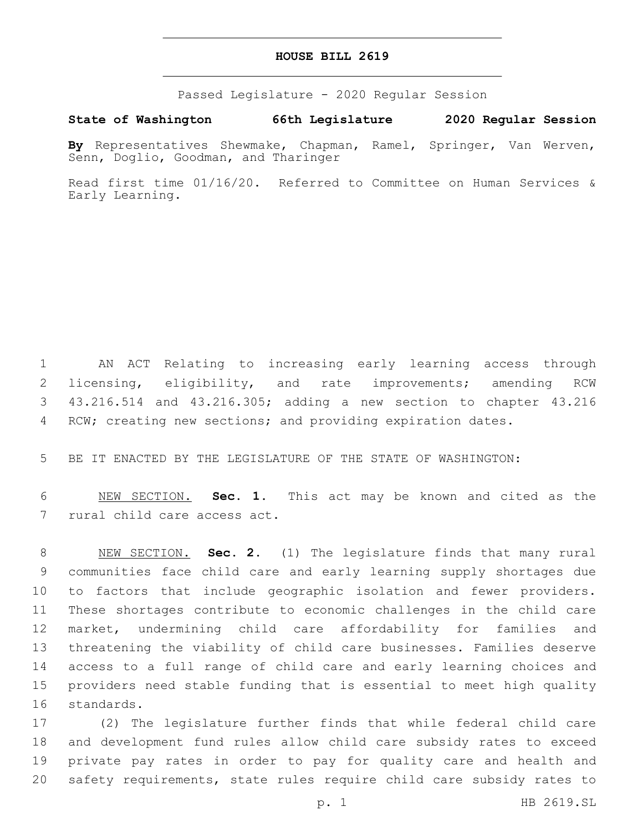## **HOUSE BILL 2619**

Passed Legislature - 2020 Regular Session

**State of Washington 66th Legislature 2020 Regular Session**

**By** Representatives Shewmake, Chapman, Ramel, Springer, Van Werven, Senn, Doglio, Goodman, and Tharinger

Read first time 01/16/20. Referred to Committee on Human Services & Early Learning.

 AN ACT Relating to increasing early learning access through licensing, eligibility, and rate improvements; amending RCW 43.216.514 and 43.216.305; adding a new section to chapter 43.216 4 RCW; creating new sections; and providing expiration dates.

BE IT ENACTED BY THE LEGISLATURE OF THE STATE OF WASHINGTON:

 NEW SECTION. **Sec. 1.** This act may be known and cited as the rural child care access act.

 NEW SECTION. **Sec. 2.** (1) The legislature finds that many rural communities face child care and early learning supply shortages due to factors that include geographic isolation and fewer providers. These shortages contribute to economic challenges in the child care market, undermining child care affordability for families and threatening the viability of child care businesses. Families deserve access to a full range of child care and early learning choices and providers need stable funding that is essential to meet high quality standards.

 (2) The legislature further finds that while federal child care and development fund rules allow child care subsidy rates to exceed private pay rates in order to pay for quality care and health and safety requirements, state rules require child care subsidy rates to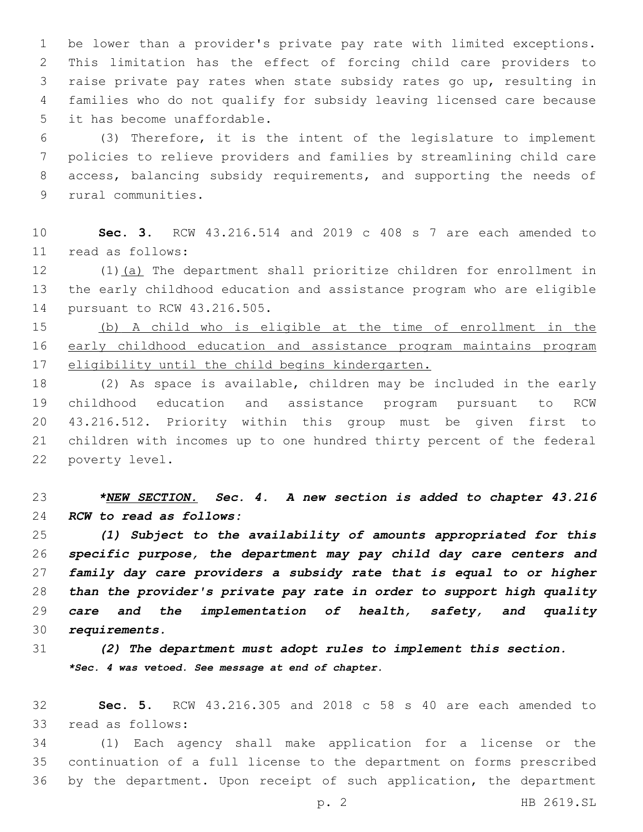be lower than a provider's private pay rate with limited exceptions. This limitation has the effect of forcing child care providers to raise private pay rates when state subsidy rates go up, resulting in families who do not qualify for subsidy leaving licensed care because 5 it has become unaffordable.

 (3) Therefore, it is the intent of the legislature to implement policies to relieve providers and families by streamlining child care access, balancing subsidy requirements, and supporting the needs of 9 rural communities.

 **Sec. 3.** RCW 43.216.514 and 2019 c 408 s 7 are each amended to read as follows:11

12 (1)(a) The department shall prioritize children for enrollment in the early childhood education and assistance program who are eligible 14 pursuant to RCW 43.216.505.

 (b) A child who is eligible at the time of enrollment in the early childhood education and assistance program maintains program eligibility until the child begins kindergarten.

 (2) As space is available, children may be included in the early childhood education and assistance program pursuant to RCW 43.216.512. Priority within this group must be given first to children with incomes up to one hundred thirty percent of the federal 22 poverty level.

# *\*NEW SECTION. Sec. 4. A new section is added to chapter 43.216 RCW to read as follows:*

 *(1) Subject to the availability of amounts appropriated for this specific purpose, the department may pay child day care centers and family day care providers a subsidy rate that is equal to or higher than the provider's private pay rate in order to support high quality care and the implementation of health, safety, and quality requirements.*

 *(2) The department must adopt rules to implement this section. \*Sec. 4 was vetoed. See message at end of chapter.*

 **Sec. 5.** RCW 43.216.305 and 2018 c 58 s 40 are each amended to 33 read as follows:

 (1) Each agency shall make application for a license or the continuation of a full license to the department on forms prescribed by the department. Upon receipt of such application, the department

p. 2 HB 2619.SL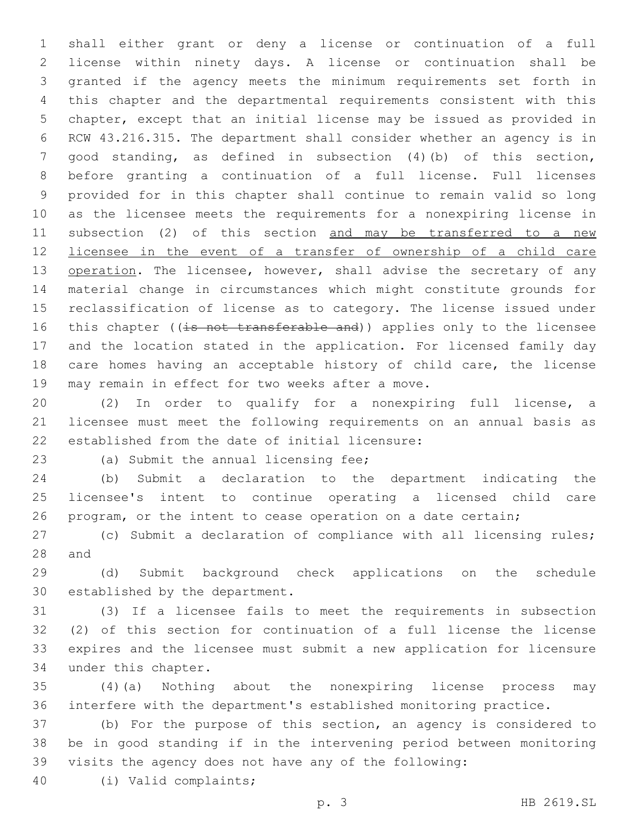shall either grant or deny a license or continuation of a full license within ninety days. A license or continuation shall be granted if the agency meets the minimum requirements set forth in this chapter and the departmental requirements consistent with this chapter, except that an initial license may be issued as provided in RCW 43.216.315. The department shall consider whether an agency is in good standing, as defined in subsection (4)(b) of this section, before granting a continuation of a full license. Full licenses provided for in this chapter shall continue to remain valid so long as the licensee meets the requirements for a nonexpiring license in 11 subsection (2) of this section and may be transferred to a new licensee in the event of a transfer of ownership of a child care 13 operation. The licensee, however, shall advise the secretary of any material change in circumstances which might constitute grounds for reclassification of license as to category. The license issued under 16 this chapter ((is not transferable and)) applies only to the licensee and the location stated in the application. For licensed family day care homes having an acceptable history of child care, the license 19 may remain in effect for two weeks after a move.

 (2) In order to qualify for a nonexpiring full license, a licensee must meet the following requirements on an annual basis as 22 established from the date of initial licensure:

23 (a) Submit the annual licensing fee;

 (b) Submit a declaration to the department indicating the licensee's intent to continue operating a licensed child care program, or the intent to cease operation on a date certain;

 (c) Submit a declaration of compliance with all licensing rules; 28 and

 (d) Submit background check applications on the schedule 30 established by the department.

 (3) If a licensee fails to meet the requirements in subsection (2) of this section for continuation of a full license the license expires and the licensee must submit a new application for licensure 34 under this chapter.

 (4)(a) Nothing about the nonexpiring license process may interfere with the department's established monitoring practice.

 (b) For the purpose of this section, an agency is considered to be in good standing if in the intervening period between monitoring visits the agency does not have any of the following:

(i) Valid complaints;40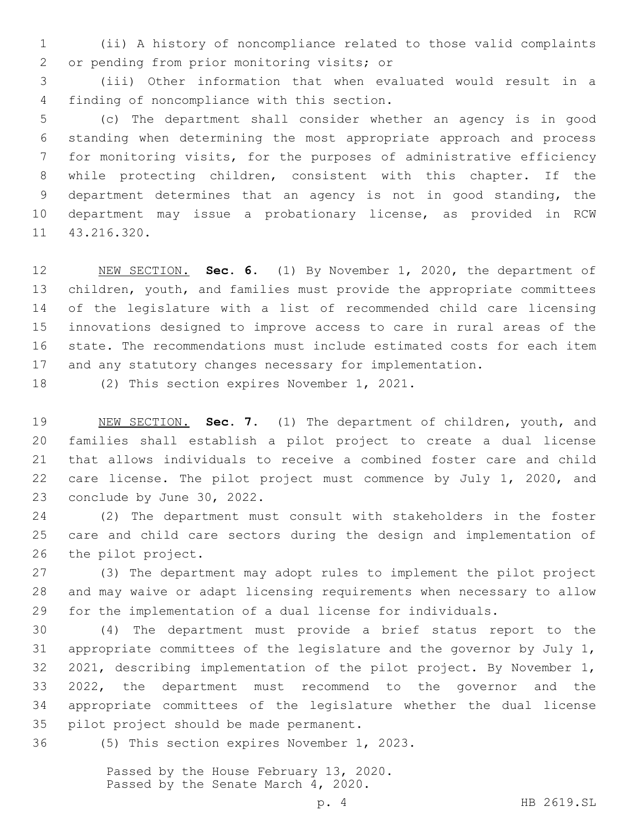(ii) A history of noncompliance related to those valid complaints 2 or pending from prior monitoring visits; or

 (iii) Other information that when evaluated would result in a finding of noncompliance with this section.4

 (c) The department shall consider whether an agency is in good standing when determining the most appropriate approach and process for monitoring visits, for the purposes of administrative efficiency while protecting children, consistent with this chapter. If the department determines that an agency is not in good standing, the department may issue a probationary license, as provided in RCW 11 43.216.320.

 NEW SECTION. **Sec. 6.** (1) By November 1, 2020, the department of 13 children, youth, and families must provide the appropriate committees of the legislature with a list of recommended child care licensing innovations designed to improve access to care in rural areas of the state. The recommendations must include estimated costs for each item and any statutory changes necessary for implementation.

18 (2) This section expires November 1, 2021.

 NEW SECTION. **Sec. 7.** (1) The department of children, youth, and families shall establish a pilot project to create a dual license that allows individuals to receive a combined foster care and child care license. The pilot project must commence by July 1, 2020, and conclude by June 30, 2022.

 (2) The department must consult with stakeholders in the foster care and child care sectors during the design and implementation of 26 the pilot project.

 (3) The department may adopt rules to implement the pilot project and may waive or adapt licensing requirements when necessary to allow for the implementation of a dual license for individuals.

 (4) The department must provide a brief status report to the appropriate committees of the legislature and the governor by July 1, 2021, describing implementation of the pilot project. By November 1, 2022, the department must recommend to the governor and the appropriate committees of the legislature whether the dual license 35 pilot project should be made permanent.

36 (5) This section expires November 1, 2023.

Passed by the House February 13, 2020. Passed by the Senate March 4, 2020.